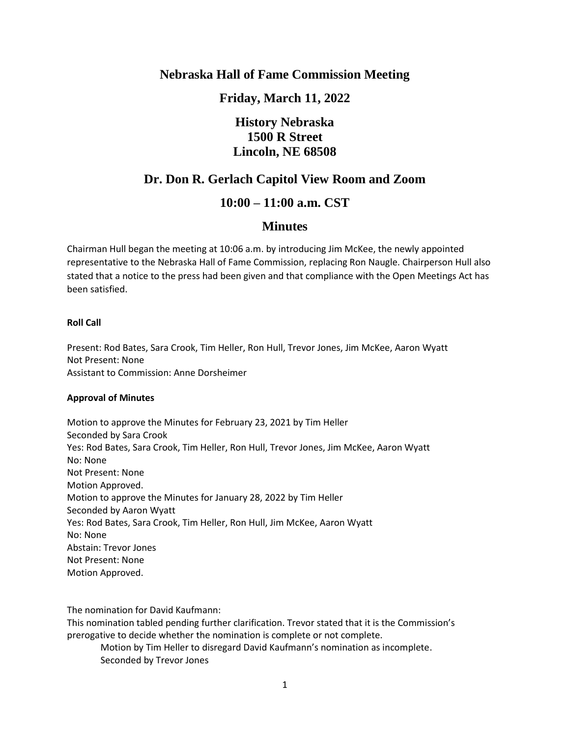### **Nebraska Hall of Fame Commission Meeting**

**Friday, March 11, 2022**

# **History Nebraska 1500 R Street Lincoln, NE 68508**

## **Dr. Don R. Gerlach Capitol View Room and Zoom**

### **10:00 – 11:00 a.m. CST**

### **Minutes**

Chairman Hull began the meeting at 10:06 a.m. by introducing Jim McKee, the newly appointed representative to the Nebraska Hall of Fame Commission, replacing Ron Naugle. Chairperson Hull also stated that a notice to the press had been given and that compliance with the Open Meetings Act has been satisfied.

#### **Roll Call**

Present: Rod Bates, Sara Crook, Tim Heller, Ron Hull, Trevor Jones, Jim McKee, Aaron Wyatt Not Present: None Assistant to Commission: Anne Dorsheimer

#### **Approval of Minutes**

Motion to approve the Minutes for February 23, 2021 by Tim Heller Seconded by Sara Crook Yes: Rod Bates, Sara Crook, Tim Heller, Ron Hull, Trevor Jones, Jim McKee, Aaron Wyatt No: None Not Present: None Motion Approved. Motion to approve the Minutes for January 28, 2022 by Tim Heller Seconded by Aaron Wyatt Yes: Rod Bates, Sara Crook, Tim Heller, Ron Hull, Jim McKee, Aaron Wyatt No: None Abstain: Trevor Jones Not Present: None Motion Approved.

The nomination for David Kaufmann:

This nomination tabled pending further clarification. Trevor stated that it is the Commission's prerogative to decide whether the nomination is complete or not complete.

Motion by Tim Heller to disregard David Kaufmann's nomination as incomplete. Seconded by Trevor Jones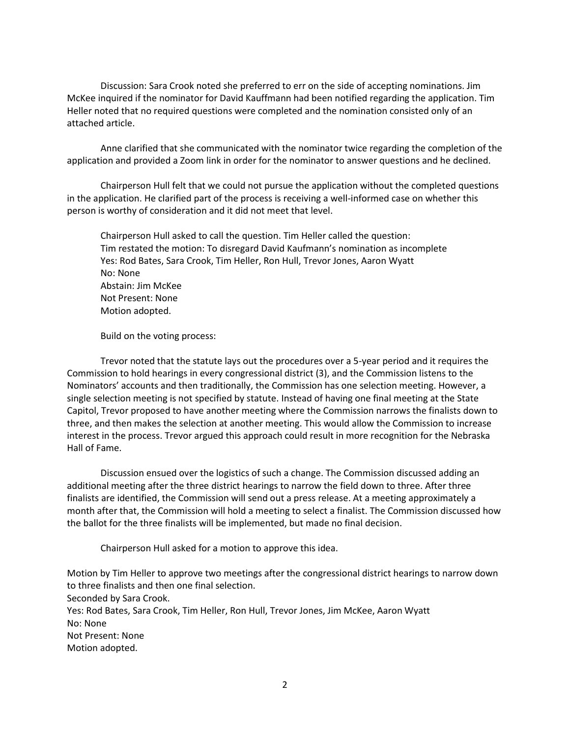Discussion: Sara Crook noted she preferred to err on the side of accepting nominations. Jim McKee inquired if the nominator for David Kauffmann had been notified regarding the application. Tim Heller noted that no required questions were completed and the nomination consisted only of an attached article.

Anne clarified that she communicated with the nominator twice regarding the completion of the application and provided a Zoom link in order for the nominator to answer questions and he declined.

Chairperson Hull felt that we could not pursue the application without the completed questions in the application. He clarified part of the process is receiving a well-informed case on whether this person is worthy of consideration and it did not meet that level.

Chairperson Hull asked to call the question. Tim Heller called the question: Tim restated the motion: To disregard David Kaufmann's nomination as incomplete Yes: Rod Bates, Sara Crook, Tim Heller, Ron Hull, Trevor Jones, Aaron Wyatt No: None Abstain: Jim McKee Not Present: None Motion adopted.

Build on the voting process:

Trevor noted that the statute lays out the procedures over a 5-year period and it requires the Commission to hold hearings in every congressional district (3), and the Commission listens to the Nominators' accounts and then traditionally, the Commission has one selection meeting. However, a single selection meeting is not specified by statute. Instead of having one final meeting at the State Capitol, Trevor proposed to have another meeting where the Commission narrows the finalists down to three, and then makes the selection at another meeting. This would allow the Commission to increase interest in the process. Trevor argued this approach could result in more recognition for the Nebraska Hall of Fame.

Discussion ensued over the logistics of such a change. The Commission discussed adding an additional meeting after the three district hearings to narrow the field down to three. After three finalists are identified, the Commission will send out a press release. At a meeting approximately a month after that, the Commission will hold a meeting to select a finalist. The Commission discussed how the ballot for the three finalists will be implemented, but made no final decision.

Chairperson Hull asked for a motion to approve this idea.

Motion by Tim Heller to approve two meetings after the congressional district hearings to narrow down to three finalists and then one final selection. Seconded by Sara Crook. Yes: Rod Bates, Sara Crook, Tim Heller, Ron Hull, Trevor Jones, Jim McKee, Aaron Wyatt No: None Not Present: None Motion adopted.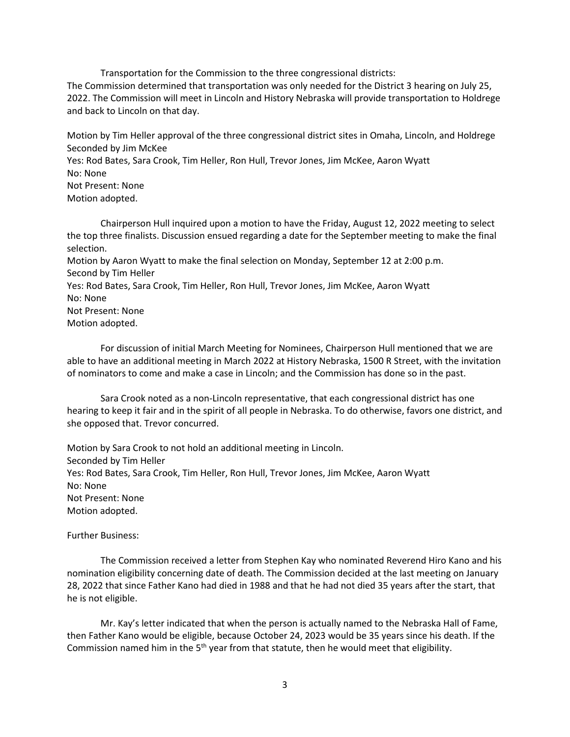Transportation for the Commission to the three congressional districts: The Commission determined that transportation was only needed for the District 3 hearing on July 25, 2022. The Commission will meet in Lincoln and History Nebraska will provide transportation to Holdrege and back to Lincoln on that day.

Motion by Tim Heller approval of the three congressional district sites in Omaha, Lincoln, and Holdrege Seconded by Jim McKee

Yes: Rod Bates, Sara Crook, Tim Heller, Ron Hull, Trevor Jones, Jim McKee, Aaron Wyatt No: None

Not Present: None Motion adopted.

Chairperson Hull inquired upon a motion to have the Friday, August 12, 2022 meeting to select the top three finalists. Discussion ensued regarding a date for the September meeting to make the final selection.

Motion by Aaron Wyatt to make the final selection on Monday, September 12 at 2:00 p.m. Second by Tim Heller

Yes: Rod Bates, Sara Crook, Tim Heller, Ron Hull, Trevor Jones, Jim McKee, Aaron Wyatt No: None

Not Present: None Motion adopted.

For discussion of initial March Meeting for Nominees, Chairperson Hull mentioned that we are able to have an additional meeting in March 2022 at History Nebraska, 1500 R Street, with the invitation of nominators to come and make a case in Lincoln; and the Commission has done so in the past.

Sara Crook noted as a non-Lincoln representative, that each congressional district has one hearing to keep it fair and in the spirit of all people in Nebraska. To do otherwise, favors one district, and she opposed that. Trevor concurred.

Motion by Sara Crook to not hold an additional meeting in Lincoln. Seconded by Tim Heller Yes: Rod Bates, Sara Crook, Tim Heller, Ron Hull, Trevor Jones, Jim McKee, Aaron Wyatt No: None Not Present: None Motion adopted.

Further Business:

The Commission received a letter from Stephen Kay who nominated Reverend Hiro Kano and his nomination eligibility concerning date of death. The Commission decided at the last meeting on January 28, 2022 that since Father Kano had died in 1988 and that he had not died 35 years after the start, that he is not eligible.

Mr. Kay's letter indicated that when the person is actually named to the Nebraska Hall of Fame, then Father Kano would be eligible, because October 24, 2023 would be 35 years since his death. If the Commission named him in the  $5<sup>th</sup>$  year from that statute, then he would meet that eligibility.